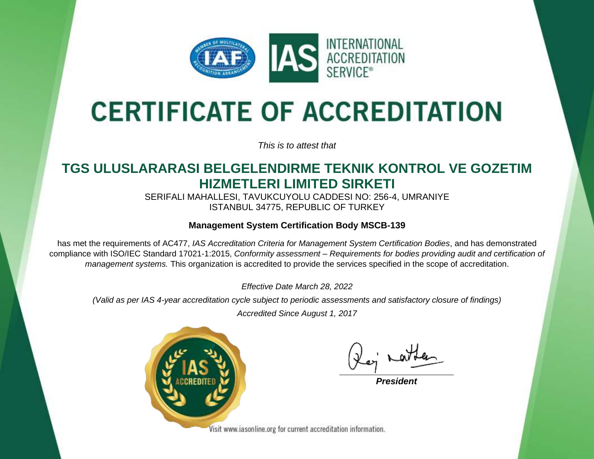

# **CERTIFICATE OF ACCREDITATION**

*This is to attest that*

### **TGS ULUSLARARASI BELGELENDIRME TEKNIK KONTROL VE GOZETIM HIZMETLERI LIMITED SIRKETI**

SERIFALI MAHALLESI, TAVUKCUYOLU CADDESI NO: 256-4, UMRANIYE ISTANBUL 34775, REPUBLIC OF TURKEY

#### **Management System Certification Body MSCB-139**

has met the requirements of AC477, *IAS Accreditation Criteria for Management System Certification Bodies*, and has demonstrated compliance with ISO/IEC Standard 17021-1:2015, *Conformity assessment – Requirements for bodies providing audit and certification of management systems.* This organization is accredited to provide the services specified in the scope of accreditation.

*Effective Date March 28, 2022*

*(Valid as per IAS 4-year accreditation cycle subject to periodic assessments and satisfactory closure of findings)*

*Accredited Since August 1, 2017*



*President*

Visit www.iasonline.org for current accreditation information.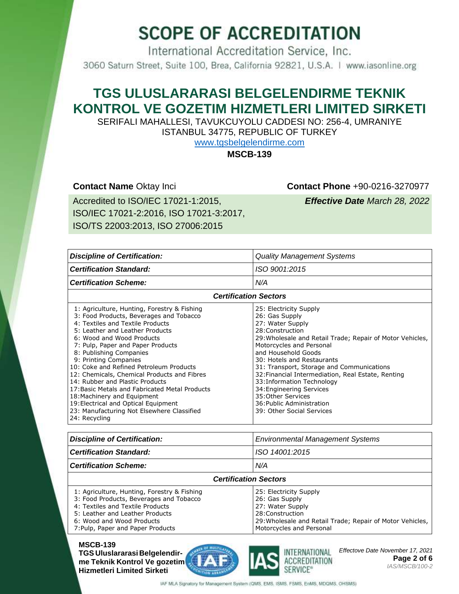International Accreditation Service, Inc. 3060 Saturn Street, Suite 100, Brea, California 92821, U.S.A. | www.iasonline.org

### **TGS ULUSLARARASI BELGELENDIRME TEKNIK KONTROL VE GOZETIM HIZMETLERI LIMITED SIRKETI**

SERIFALI MAHALLESI, TAVUKCUYOLU CADDESI NO: 256-4, UMRANIYE ISTANBUL 34775, REPUBLIC OF TURKEY

[www.tgsbelgelendirme.com](http://tgsbelgelendirme.com/)

**MSCB-139**

**Contact Name** Oktay Inci **Contact Phone** +90-0216-3270977

Accredited to ISO/IEC 17021-1:2015, ISO/IEC 17021-2:2016, ISO 17021-3:2017, ISO/TS 22003:2013, ISO 27006:2015

*Effective Date March 28, 2022*

| <b>Discipline of Certification:</b>                                                                                                                                                                                                                                                                                                                                                                                                                                                                                                                                                                      | <b>Quality Management Systems</b>                                                                                                                                                                                                                                                                                                                                                                                                                                           |  |
|----------------------------------------------------------------------------------------------------------------------------------------------------------------------------------------------------------------------------------------------------------------------------------------------------------------------------------------------------------------------------------------------------------------------------------------------------------------------------------------------------------------------------------------------------------------------------------------------------------|-----------------------------------------------------------------------------------------------------------------------------------------------------------------------------------------------------------------------------------------------------------------------------------------------------------------------------------------------------------------------------------------------------------------------------------------------------------------------------|--|
| <b>Certification Standard:</b>                                                                                                                                                                                                                                                                                                                                                                                                                                                                                                                                                                           | ISO 9001:2015                                                                                                                                                                                                                                                                                                                                                                                                                                                               |  |
| <b>Certification Scheme:</b>                                                                                                                                                                                                                                                                                                                                                                                                                                                                                                                                                                             | N/A                                                                                                                                                                                                                                                                                                                                                                                                                                                                         |  |
| <b>Certification Sectors</b>                                                                                                                                                                                                                                                                                                                                                                                                                                                                                                                                                                             |                                                                                                                                                                                                                                                                                                                                                                                                                                                                             |  |
| 1: Agriculture, Hunting, Forestry & Fishing<br>3: Food Products, Beverages and Tobacco<br>4: Textiles and Textile Products<br>5: Leather and Leather Products<br>6: Wood and Wood Products<br>7: Pulp, Paper and Paper Products<br>8: Publishing Companies<br>9: Printing Companies<br>10: Coke and Refined Petroleum Products<br>12: Chemicals, Chemical Products and Fibres<br>14: Rubber and Plastic Products<br>17: Basic Metals and Fabricated Metal Products<br>18: Machinery and Equipment<br>19: Electrical and Optical Equipment<br>23: Manufacturing Not Elsewhere Classified<br>24: Recycling | 25: Electricity Supply<br>26: Gas Supply<br>27: Water Supply<br>28: Construction<br>29: Wholesale and Retail Trade; Repair of Motor Vehicles,<br>Motorcycles and Personal<br>and Household Goods<br>30: Hotels and Restaurants<br>31: Transport, Storage and Communications<br>32: Financial Intermediation, Real Estate, Renting<br>33: Information Technology<br>34: Engineering Services<br>35: Other Services<br>36: Public Administration<br>39: Other Social Services |  |

| <b>Discipline of Certification:</b> | <b>Environmental Management Systems</b> |  |
|-------------------------------------|-----------------------------------------|--|
| <b>Certification Standard:</b>      | ISO 14001:2015                          |  |
| N/A<br><b>Certification Scheme:</b> |                                         |  |
| <b>Certification Sectors</b>        |                                         |  |

| 1: Agriculture, Hunting, Forestry & Fishing | 25: Electricity Supply                                    |
|---------------------------------------------|-----------------------------------------------------------|
| 3: Food Products, Beverages and Tobacco     | 26: Gas Supply                                            |
| 4: Textiles and Textile Products            | 27: Water Supply                                          |
| 5: Leather and Leather Products             | 28:Construction                                           |
| 6: Wood and Wood Products                   | 29: Wholesale and Retail Trade; Repair of Motor Vehicles, |
| 7: Pulp, Paper and Paper Products           | Motorcycles and Personal                                  |
|                                             |                                                           |

#### **MSCB-139 TGS Uluslararasi Belgelendirme Teknik Kontrol Ve gozetim Hizmetleri Limited Sirketi**





*Effectove Date November 17, 2021* **Page 2 of 6** *IAS/MSCB/100-2* 

IAF MLA Signatory for Management System (QMS, EMS, ISMS, FSMS, EnMS, MDQMS, OHSMS)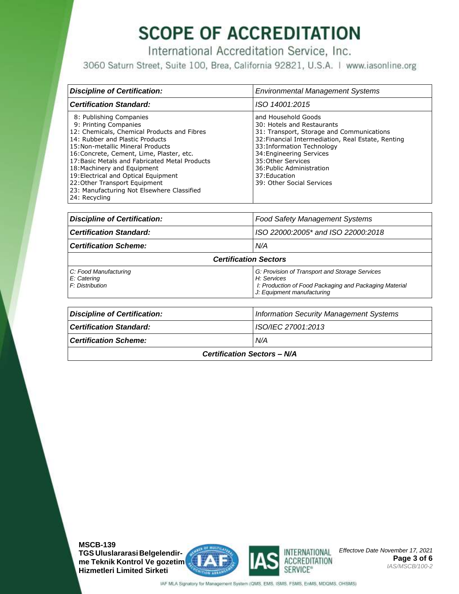International Accreditation Service, Inc.

3060 Saturn Street, Suite 100, Brea, California 92821, U.S.A. | www.iasonline.org

| <b>Discipline of Certification:</b>                                                                                                                                                                                                                                                                                                                                                                                                           | <b>Environmental Management Systems</b>                                                                                                                                                                                                                                                                         |  |
|-----------------------------------------------------------------------------------------------------------------------------------------------------------------------------------------------------------------------------------------------------------------------------------------------------------------------------------------------------------------------------------------------------------------------------------------------|-----------------------------------------------------------------------------------------------------------------------------------------------------------------------------------------------------------------------------------------------------------------------------------------------------------------|--|
| <b>Certification Standard:</b>                                                                                                                                                                                                                                                                                                                                                                                                                | ISO 14001:2015                                                                                                                                                                                                                                                                                                  |  |
| 8: Publishing Companies<br>9: Printing Companies<br>12: Chemicals, Chemical Products and Fibres<br>14: Rubber and Plastic Products<br>15: Non-metallic Mineral Products<br>16: Concrete, Cement, Lime, Plaster, etc.<br>17: Basic Metals and Fabricated Metal Products<br>18: Machinery and Equipment<br>19: Electrical and Optical Equipment<br>22: Other Transport Equipment<br>23: Manufacturing Not Elsewhere Classified<br>24: Recycling | and Household Goods<br>30: Hotels and Restaurants<br>31: Transport, Storage and Communications<br>32: Financial Intermediation, Real Estate, Renting<br>33: Information Technology<br>34: Engineering Services<br>35: Other Services<br>36: Public Administration<br>37: Education<br>39: Other Social Services |  |

| <b>Discipline of Certification:</b>                                  | <b>Food Safety Management Systems</b>                                                                                                                 |  |
|----------------------------------------------------------------------|-------------------------------------------------------------------------------------------------------------------------------------------------------|--|
| <b>Certification Standard:</b><br>ISO 22000:2005* and ISO 22000:2018 |                                                                                                                                                       |  |
| <b>Certification Scheme:</b><br>N/A                                  |                                                                                                                                                       |  |
| <b>Certification Sectors</b>                                         |                                                                                                                                                       |  |
| C: Food Manufacturing<br>E: Catering<br>F: Distribution              | G: Provision of Transport and Storage Services<br>H: Services<br>I: Production of Food Packaging and Packaging Material<br>J: Equipment manufacturing |  |

| Discipline of Certification:        | <b>Information Security Management Systems</b> |  |  |
|-------------------------------------|------------------------------------------------|--|--|
| <b>Certification Standard:</b>      | ISO/IEC 27001:2013                             |  |  |
| N/A<br><b>Certification Scheme:</b> |                                                |  |  |
| <b>Certification Sectors - N/A</b>  |                                                |  |  |

**MSCB-139 TGS Uluslararasi Belgelendirme Teknik Kontrol Ve gozetim Hizmetleri Limited Sirketi**



*Effectove Date November 17, 2021* **Page 3 of 6** *IAS/MSCB/100-2* 

ACCREDITATION SERVICE<sup>®</sup>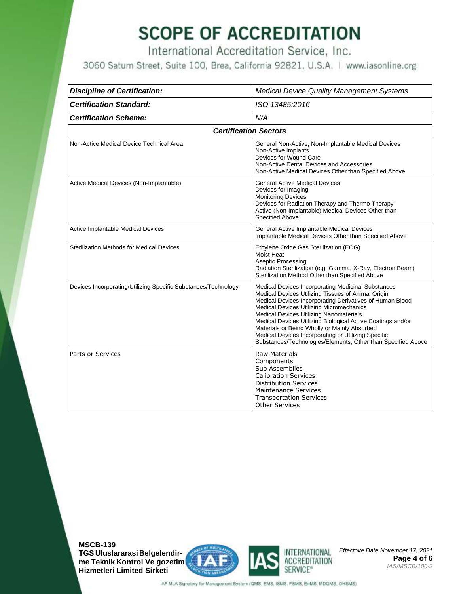International Accreditation Service, Inc.

3060 Saturn Street, Suite 100, Brea, California 92821, U.S.A. | www.iasonline.org

| <b>Discipline of Certification:</b>                            | <b>Medical Device Quality Management Systems</b>                                                                                                                                                                                                                                                                                                                                                                                                                                                  |  |  |
|----------------------------------------------------------------|---------------------------------------------------------------------------------------------------------------------------------------------------------------------------------------------------------------------------------------------------------------------------------------------------------------------------------------------------------------------------------------------------------------------------------------------------------------------------------------------------|--|--|
| <b>Certification Standard:</b>                                 | ISO 13485:2016                                                                                                                                                                                                                                                                                                                                                                                                                                                                                    |  |  |
| <b>Certification Scheme:</b>                                   | N/A                                                                                                                                                                                                                                                                                                                                                                                                                                                                                               |  |  |
| <b>Certification Sectors</b>                                   |                                                                                                                                                                                                                                                                                                                                                                                                                                                                                                   |  |  |
| Non-Active Medical Device Technical Area                       | General Non-Active, Non-Implantable Medical Devices<br>Non-Active Implants<br>Devices for Wound Care<br>Non-Active Dental Devices and Accessories<br>Non-Active Medical Devices Other than Specified Above                                                                                                                                                                                                                                                                                        |  |  |
| Active Medical Devices (Non-Implantable)                       | <b>General Active Medical Devices</b><br>Devices for Imaging<br><b>Monitoring Devices</b><br>Devices for Radiation Therapy and Thermo Therapy<br>Active (Non-Implantable) Medical Devices Other than<br><b>Specified Above</b>                                                                                                                                                                                                                                                                    |  |  |
| Active Implantable Medical Devices                             | General Active Implantable Medical Devices<br>Implantable Medical Devices Other than Specified Above                                                                                                                                                                                                                                                                                                                                                                                              |  |  |
| <b>Sterilization Methods for Medical Devices</b>               | Ethylene Oxide Gas Sterilization (EOG)<br>Moist Heat<br><b>Aseptic Processing</b><br>Radiation Sterilization (e.g. Gamma, X-Ray, Electron Beam)<br>Sterilization Method Other than Specified Above                                                                                                                                                                                                                                                                                                |  |  |
| Devices Incorporating/Utilizing Specific Substances/Technology | Medical Devices Incorporating Medicinal Substances<br>Medical Devices Utilizing Tissues of Animal Origin<br>Medical Devices Incorporating Derivatives of Human Blood<br>Medical Devices Utilizing Micromechanics<br>Medical Devices Utilizing Nanomaterials<br>Medical Devices Utilizing Biological Active Coatings and/or<br>Materials or Being Wholly or Mainly Absorbed<br>Medical Devices Incorporating or Utilizing Specific<br>Substances/Technologies/Elements, Other than Specified Above |  |  |
| Parts or Services                                              | <b>Raw Materials</b><br>Components<br>Sub Assemblies<br><b>Calibration Services</b><br><b>Distribution Services</b><br><b>Maintenance Services</b><br><b>Transportation Services</b><br><b>Other Services</b>                                                                                                                                                                                                                                                                                     |  |  |

**MSCB-139 TGS Uluslararasi Belgelendirme Teknik Kontrol Ve gozetim Hizmetleri Limited Sirketi**





*Effectove Date November 17, 2021* **Page 4 of 6** *IAS/MSCB/100-2*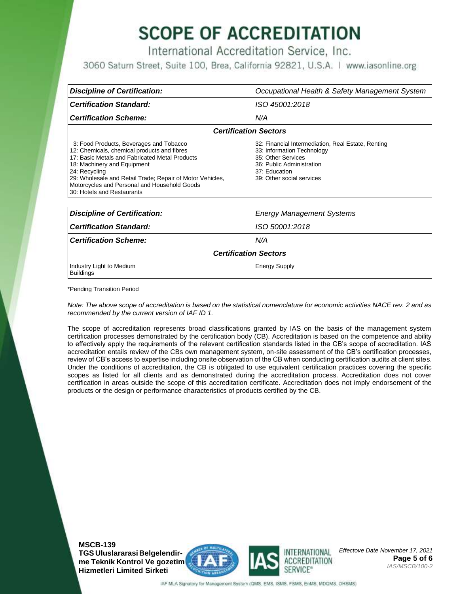International Accreditation Service, Inc.

3060 Saturn Street, Suite 100, Brea, California 92821, U.S.A. | www.iasonline.org

| <b>Discipline of Certification:</b>                                                                                                                                                                                                                                                                                                 | Occupational Health & Safety Management System                                                                                                                                    |  |
|-------------------------------------------------------------------------------------------------------------------------------------------------------------------------------------------------------------------------------------------------------------------------------------------------------------------------------------|-----------------------------------------------------------------------------------------------------------------------------------------------------------------------------------|--|
| <b>Certification Standard:</b>                                                                                                                                                                                                                                                                                                      | ISO 45001:2018                                                                                                                                                                    |  |
| <b>Certification Scheme:</b>                                                                                                                                                                                                                                                                                                        | N/A                                                                                                                                                                               |  |
| <b>Certification Sectors</b>                                                                                                                                                                                                                                                                                                        |                                                                                                                                                                                   |  |
| 3: Food Products, Beverages and Tobacco<br>12: Chemicals, chemical products and fibres<br>17: Basic Metals and Fabricated Metal Products<br>18: Machinery and Equipment<br>24: Recycling<br>29: Wholesale and Retail Trade; Repair of Motor Vehicles,<br>Motorcycles and Personal and Household Goods<br>30: Hotels and Restaurants | 32: Financial Intermediation, Real Estate, Renting<br>33: Information Technology<br>35: Other Services<br>36: Public Administration<br>37: Education<br>39: Other social services |  |

| <b>Discipline of Certification:</b>          | <b>Energy Management Systems</b> |  |  |
|----------------------------------------------|----------------------------------|--|--|
| <b>Certification Standard:</b>               | ISO 50001:2018                   |  |  |
| <b>Certification Scheme:</b>                 | N/A                              |  |  |
| <b>Certification Sectors</b>                 |                                  |  |  |
| Industry Light to Medium<br><b>Buildings</b> | <b>Energy Supply</b>             |  |  |

\*Pending Transition Period

*Note: The above scope of accreditation is based on the statistical nomenclature for economic activities NACE rev. 2 and as recommended by the current version of IAF ID 1.*

The scope of accreditation represents broad classifications granted by IAS on the basis of the management system certification processes demonstrated by the certification body (CB). Accreditation is based on the competence and ability to effectively apply the requirements of the relevant certification standards listed in the CB's scope of accreditation. IAS accreditation entails review of the CBs own management system, on-site assessment of the CB's certification processes, review of CB's access to expertise including onsite observation of the CB when conducting certification audits at client sites. Under the conditions of accreditation, the CB is obligated to use equivalent certification practices covering the specific scopes as listed for all clients and as demonstrated during the accreditation process. Accreditation does not cover certification in areas outside the scope of this accreditation certificate. Accreditation does not imply endorsement of the products or the design or performance characteristics of products certified by the CB.

**MSCB-139 TGS Uluslararasi Belgelendirme Teknik Kontrol Ve gozetim Hizmetleri Limited Sirketi**





*Effectove Date November 17, 2021* **Page 5 of 6** *IAS/MSCB/100-2*